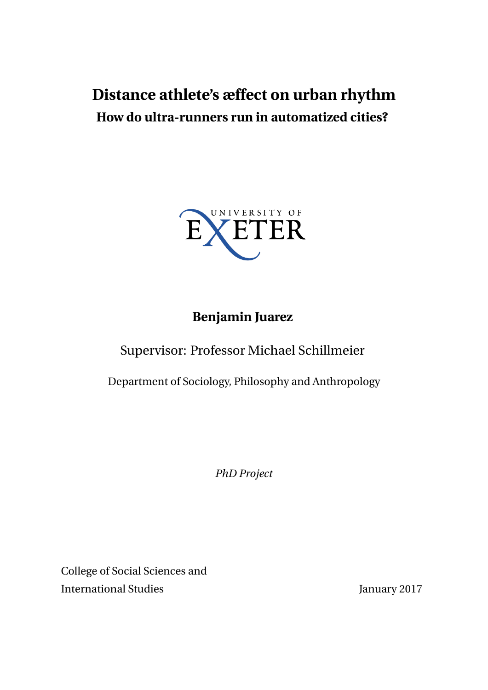# **Distance athlete's æffect on urban rhythm How do ultra-runners run in automatized cities?**



# **Benjamin Juarez**

# Supervisor: Professor Michael Schillmeier

Department of Sociology, Philosophy and Anthropology

*PhD Project*

College of Social Sciences and International Studies January 2017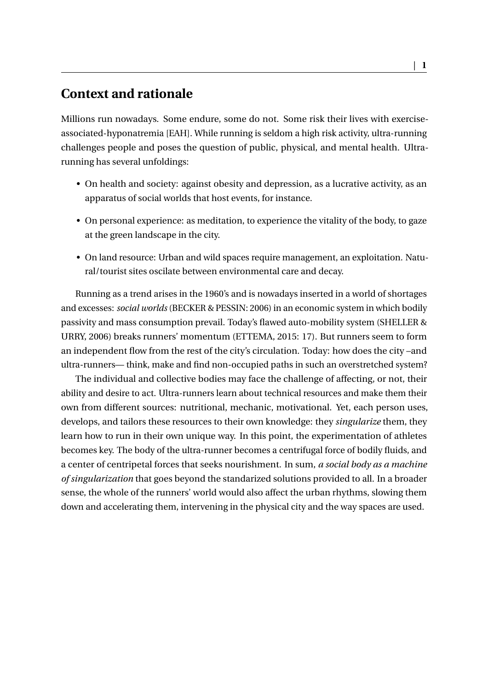## **Context and rationale**

Millions run nowadays. Some endure, some do not. Some risk their lives with exerciseassociated-hyponatremia [EAH]. While running is seldom a high risk activity, ultra-running challenges people and poses the question of public, physical, and mental health. Ultrarunning has several unfoldings:

- On health and society: against obesity and depression, as a lucrative activity, as an apparatus of social worlds that host events, for instance.
- On personal experience: as meditation, to experience the vitality of the body, to gaze at the green landscape in the city.
- On land resource: Urban and wild spaces require management, an exploitation. Natural/tourist sites oscilate between environmental care and decay.

Running as a trend arises in the 1960's and is nowadays inserted in a world of shortages and excesses: *social worlds* (BECKER & PESSIN: 2006) in an economic system in which bodily passivity and mass consumption prevail. Today's flawed auto-mobility system (SHELLER & URRY, 2006) breaks runners' momentum (ETTEMA, 2015: 17). But runners seem to form an independent flow from the rest of the city's circulation. Today: how does the city –and ultra-runners— think, make and find non-occupied paths in such an overstretched system?

The individual and collective bodies may face the challenge of affecting, or not, their ability and desire to act. Ultra-runners learn about technical resources and make them their own from different sources: nutritional, mechanic, motivational. Yet, each person uses, develops, and tailors these resources to their own knowledge: they *singularize* them, they learn how to run in their own unique way. In this point, the experimentation of athletes becomes key. The body of the ultra-runner becomes a centrifugal force of bodily fluids, and a center of centripetal forces that seeks nourishment. In sum, *a social body as a machine of singularization* that goes beyond the standarized solutions provided to all. In a broader sense, the whole of the runners' world would also affect the urban rhythms, slowing them down and accelerating them, intervening in the physical city and the way spaces are used.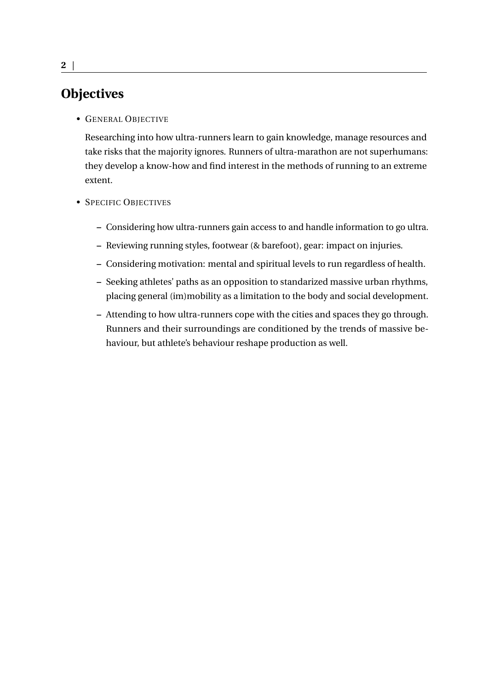### **Objectives**

• GENERAL OBJECTIVE

Researching into how ultra-runners learn to gain knowledge, manage resources and take risks that the majority ignores. Runners of ultra-marathon are not superhumans: they develop a know-how and find interest in the methods of running to an extreme extent.

- SPECIFIC OBJECTIVES
	- **–** Considering how ultra-runners gain access to and handle information to go ultra.
	- **–** Reviewing running styles, footwear (& barefoot), gear: impact on injuries.
	- **–** Considering motivation: mental and spiritual levels to run regardless of health.
	- **–** Seeking athletes' paths as an opposition to standarized massive urban rhythms, placing general (im)mobility as a limitation to the body and social development.
	- **–** Attending to how ultra-runners cope with the cities and spaces they go through. Runners and their surroundings are conditioned by the trends of massive behaviour, but athlete's behaviour reshape production as well.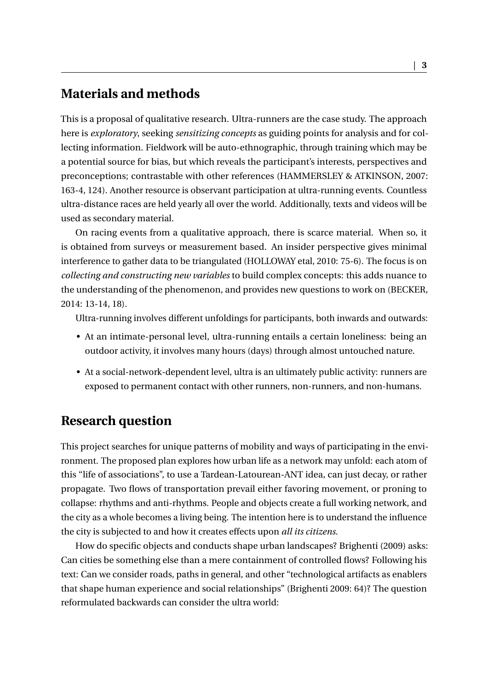#### **Materials and methods**

This is a proposal of qualitative research. Ultra-runners are the case study. The approach here is *exploratory*, seeking *sensitizing concepts* as guiding points for analysis and for collecting information. Fieldwork will be auto-ethnographic, through training which may be a potential source for bias, but which reveals the participant's interests, perspectives and preconceptions; contrastable with other references (HAMMERSLEY & ATKINSON, 2007: 163-4, 124). Another resource is observant participation at ultra-running events. Countless ultra-distance races are held yearly all over the world. Additionally, texts and videos will be used as secondary material.

On racing events from a qualitative approach, there is scarce material. When so, it is obtained from surveys or measurement based. An insider perspective gives minimal interference to gather data to be triangulated (HOLLOWAY etal, 2010: 75-6). The focus is on *collecting and constructing new variables* to build complex concepts: this adds nuance to the understanding of the phenomenon, and provides new questions to work on (BECKER, 2014: 13-14, 18).

Ultra-running involves different unfoldings for participants, both inwards and outwards:

- At an intimate-personal level, ultra-running entails a certain loneliness: being an outdoor activity, it involves many hours (days) through almost untouched nature.
- At a social-network-dependent level, ultra is an ultimately public activity: runners are exposed to permanent contact with other runners, non-runners, and non-humans.

#### **Research question**

This project searches for unique patterns of mobility and ways of participating in the environment. The proposed plan explores how urban life as a network may unfold: each atom of this "life of associations", to use a Tardean-Latourean-ANT idea, can just decay, or rather propagate. Two flows of transportation prevail either favoring movement, or proning to collapse: rhythms and anti-rhythms. People and objects create a full working network, and the city as a whole becomes a living being. The intention here is to understand the influence the city is subjected to and how it creates effects upon *all its citizens*.

How do specific objects and conducts shape urban landscapes? Brighenti (2009) asks: Can cities be something else than a mere containment of controlled flows? Following his text: Can we consider roads, paths in general, and other "technological artifacts as enablers that shape human experience and social relationships" (Brighenti 2009: 64)? The question reformulated backwards can consider the ultra world: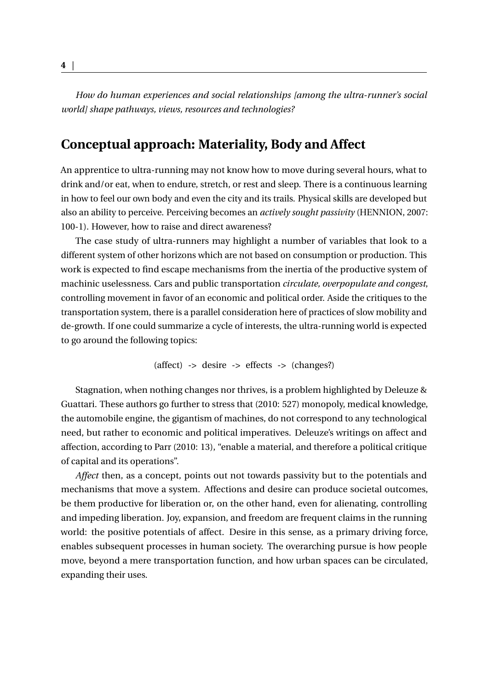*How do human experiences and social relationships [among the ultra-runner's social world] shape pathways, views, resources and technologies?*

### **Conceptual approach: Materiality, Body and Affect**

An apprentice to ultra-running may not know how to move during several hours, what to drink and/or eat, when to endure, stretch, or rest and sleep. There is a continuous learning in how to feel our own body and even the city and its trails. Physical skills are developed but also an ability to perceive. Perceiving becomes an *actively sought passivity* (HENNION, 2007: 100-1). However, how to raise and direct awareness?

The case study of ultra-runners may highlight a number of variables that look to a different system of other horizons which are not based on consumption or production. This work is expected to find escape mechanisms from the inertia of the productive system of machinic uselessness. Cars and public transportation *circulate, overpopulate and congest*, controlling movement in favor of an economic and political order. Aside the critiques to the transportation system, there is a parallel consideration here of practices of slow mobility and de-growth. If one could summarize a cycle of interests, the ultra-running world is expected to go around the following topics:

$$
(affect) \rightarrow desire \rightarrow effects \rightarrow (changes?)
$$

Stagnation, when nothing changes nor thrives, is a problem highlighted by Deleuze & Guattari. These authors go further to stress that (2010: 527) monopoly, medical knowledge, the automobile engine, the gigantism of machines, do not correspond to any technological need, but rather to economic and political imperatives. Deleuze's writings on affect and affection, according to Parr (2010: 13), "enable a material, and therefore a political critique of capital and its operations".

*Affect* then, as a concept, points out not towards passivity but to the potentials and mechanisms that move a system. Affections and desire can produce societal outcomes, be them productive for liberation or, on the other hand, even for alienating, controlling and impeding liberation. Joy, expansion, and freedom are frequent claims in the running world: the positive potentials of affect. Desire in this sense, as a primary driving force, enables subsequent processes in human society. The overarching pursue is how people move, beyond a mere transportation function, and how urban spaces can be circulated, expanding their uses.